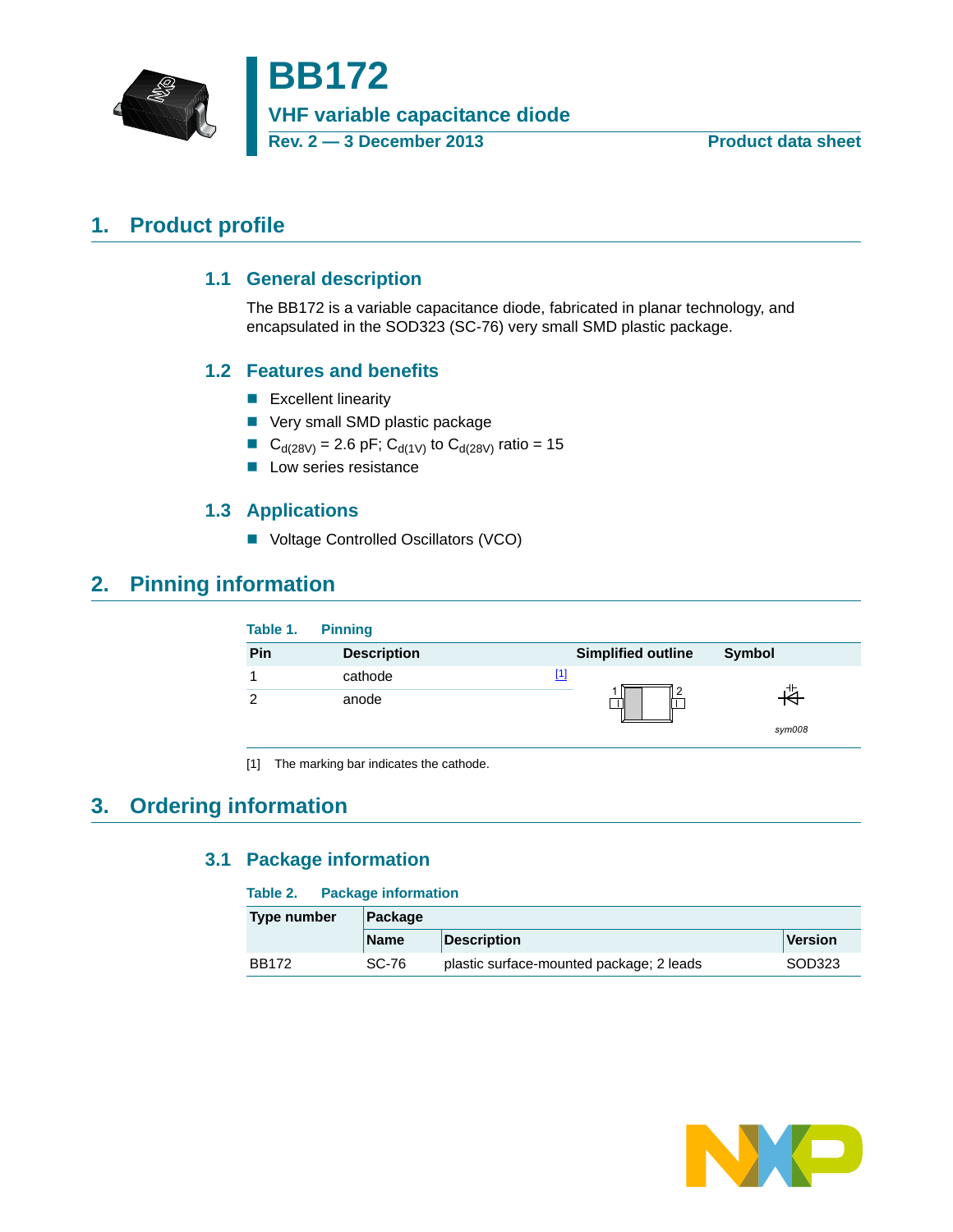

# **BB172**

**VHF variable capacitance diode**

**Rev. 2 — 3 December 2013 Product data sheet**

## <span id="page-0-3"></span><span id="page-0-2"></span>**1. Product profile**

#### **1.1 General description**

The BB172 is a variable capacitance diode, fabricated in planar technology, and encapsulated in the SOD323 (SC-76) very small SMD plastic package.

## <span id="page-0-4"></span>**1.2 Features and benefits**

- **Excellent linearity**
- **Very small SMD plastic package**
- C<sub>d(28V)</sub> = 2.6 pF; C<sub>d(1V)</sub> to C<sub>d(28V)</sub> ratio = 15
- **Low series resistance**

## **1.3 Applications**

■ Voltage Controlled Oscillators (VCO)

## <span id="page-0-6"></span><span id="page-0-5"></span>**2. Pinning information**

| Table 1. | <b>Pinning</b>     |                           |        |
|----------|--------------------|---------------------------|--------|
| Pin      | <b>Description</b> | <b>Simplified outline</b> | Symbol |
|          | cathode            | [1]                       |        |
| ⌒        | anode              |                           |        |
|          |                    |                           | sym008 |

<span id="page-0-0"></span>[1] The marking bar indicates the cathode.

## <span id="page-0-7"></span><span id="page-0-1"></span>**3. Ordering information**

## **3.1 Package information**

#### **Table 2. Package information**

| Type number  | Package     |                                          |         |  |  |
|--------------|-------------|------------------------------------------|---------|--|--|
|              | <b>Name</b> | <b>Description</b>                       | Version |  |  |
| <b>BB172</b> | SC-76       | plastic surface-mounted package; 2 leads | SOD323  |  |  |

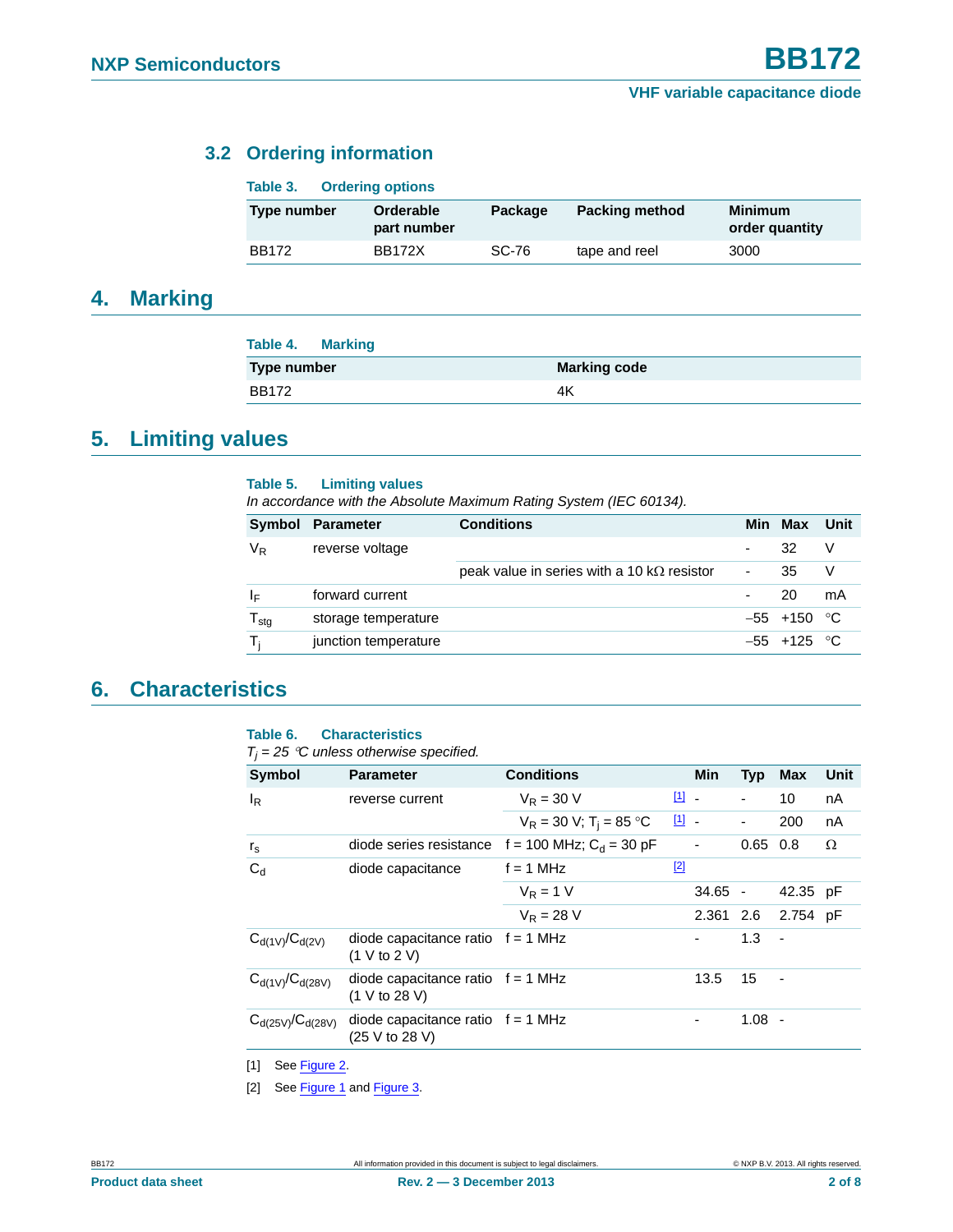## <span id="page-1-2"></span>**3.2 Ordering information**

| Table 3.     |  | <b>Ordering options</b>  |         |                       |                                  |
|--------------|--|--------------------------|---------|-----------------------|----------------------------------|
| Type number  |  | Orderable<br>part number | Package | <b>Packing method</b> | <b>Minimum</b><br>order quantity |
| <b>BB172</b> |  | <b>BB172X</b>            | SC-76   | tape and reel         | 3000                             |

## <span id="page-1-3"></span>**4. Marking**

| <b>Table 4. Marking</b> |                     |
|-------------------------|---------------------|
| <b>Type number</b>      | <b>Marking code</b> |
| <b>BB172</b>            | 4K                  |

## <span id="page-1-4"></span>**5. Limiting values**

#### **Table 5. Limiting values**

*In accordance with the Absolute Maximum Rating System (IEC 60134).*

| Symbol                      | Parameter            | <b>Conditions</b>                                  |                | Min Max        | Unit |
|-----------------------------|----------------------|----------------------------------------------------|----------------|----------------|------|
| V <sub>R</sub>              | reverse voltage      |                                                    | $\blacksquare$ | 32             | V    |
|                             |                      | peak value in series with a 10 k $\Omega$ resistor | ۰.             | 35             |      |
| ΙF                          | forward current      |                                                    |                | 20             | mA   |
| $\mathsf{T}_{\textsf{stg}}$ | storage temperature  |                                                    |                | $-55$ +150 °C  |      |
| т.                          | junction temperature |                                                    |                | $-55 + 125$ °C |      |

## <span id="page-1-5"></span>**6. Characteristics**

#### **Table 6. Characteristics**

 $T_i = 25$  °C unless otherwise specified.

| Symbol                  | <b>Parameter</b>                                      | <b>Conditions</b>                                    |               | <b>Min</b>               | <b>Typ</b> | <b>Max</b>               | Unit |
|-------------------------|-------------------------------------------------------|------------------------------------------------------|---------------|--------------------------|------------|--------------------------|------|
| $I_R$                   | reverse current                                       | $V_R = 30 V$                                         | $\boxed{1}$ - |                          | -          | 10                       | nA   |
|                         |                                                       | $V_R = 30 V$ ; T <sub>i</sub> = 85 °C                | $\boxed{1}$ - |                          |            | 200                      | nA   |
| $r_{\rm s}$             |                                                       | diode series resistance $f = 100$ MHz; $C_d = 30$ pF |               | $\overline{\phantom{a}}$ | 0.65       | 0.8                      | Ω    |
| $C_d$                   | diode capacitance                                     | $f = 1$ MHz                                          | $[2]$         |                          |            |                          |      |
|                         |                                                       | $V_{\rm P} = 1$ V                                    |               | $34.65 -$                |            | 42.35 pF                 |      |
|                         |                                                       | $V_{\rm R} = 28$ V                                   |               | 2.361 2.6                |            | 2.754 pF                 |      |
| $C_{d(1V)}/C_{d(2V)}$   | diode capacitance ratio $f = 1$ MHz<br>(1 V to 2 V)   |                                                      |               | -                        | 1.3        | $\overline{\phantom{a}}$ |      |
| $C_{d(1V)}/C_{d(28V)}$  | diode capacitance ratio $f = 1$ MHz<br>(1 V to 28 V)  |                                                      |               | 13.5                     | 15         | $\overline{\phantom{a}}$ |      |
| $C_{d(25V)}/C_{d(28V)}$ | diode capacitance ratio $f = 1$ MHz<br>(25 V to 28 V) |                                                      |               |                          | $1.08 -$   |                          |      |

<span id="page-1-0"></span>[1] See [Figure 2](#page-2-0).

<span id="page-1-1"></span>[2] See [Figure 1](#page-2-1) and [Figure 3](#page-2-2).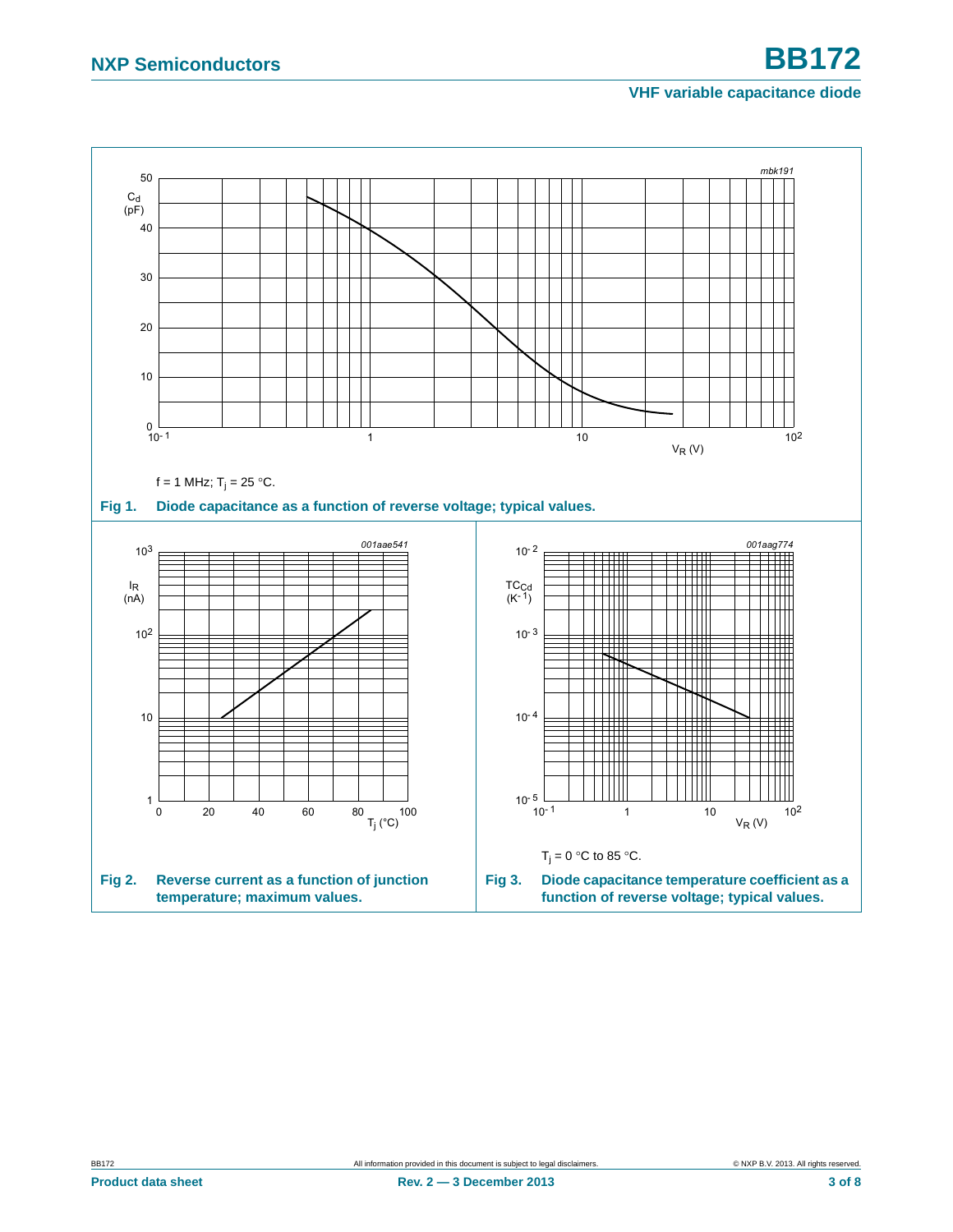#### <span id="page-2-2"></span>**VHF variable capacitance diode**

<span id="page-2-1"></span><span id="page-2-0"></span>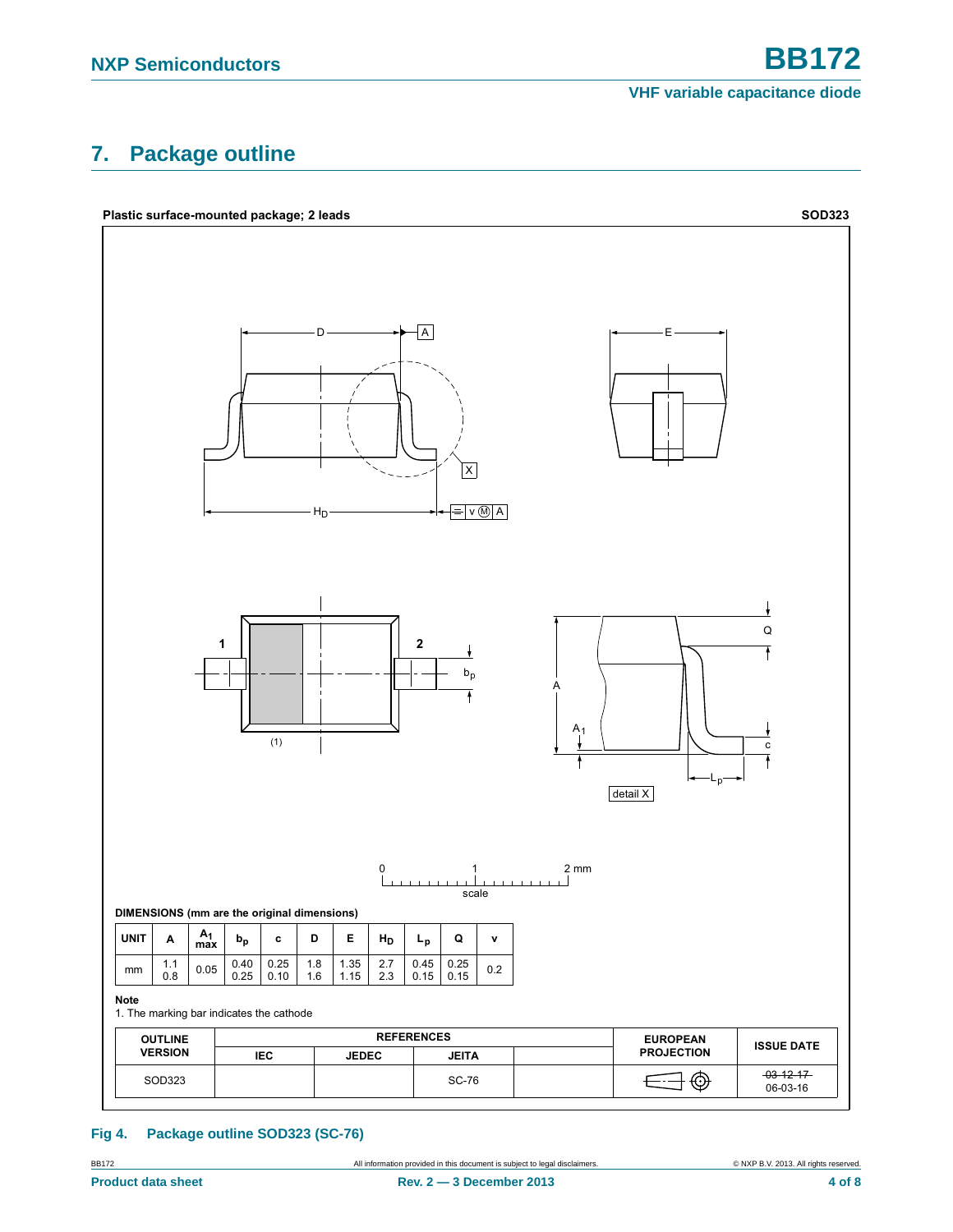## <span id="page-3-0"></span>**7. Package outline**



#### **Fig 4. Package outline SOD323 (SC-76)**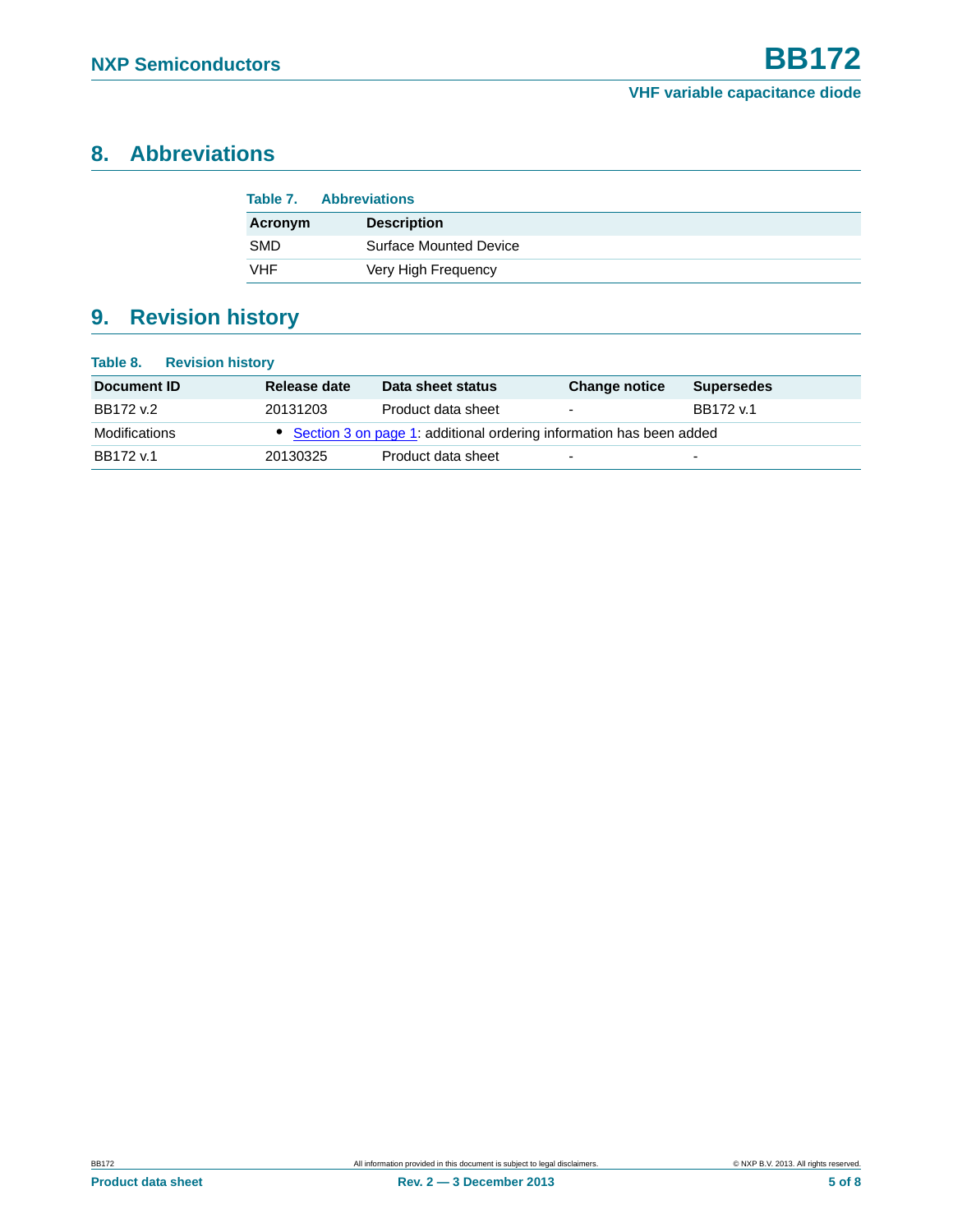## <span id="page-4-0"></span>**8. Abbreviations**

| Table 7.   | <b>Abbreviations</b>          |  |
|------------|-------------------------------|--|
| Acronym    | <b>Description</b>            |  |
| <b>SMD</b> | <b>Surface Mounted Device</b> |  |
| <b>VHF</b> | Very High Frequency           |  |

## <span id="page-4-1"></span>**9. Revision history**

| <b>Revision history</b><br>Table 8. |              |                                                                       |                          |                          |
|-------------------------------------|--------------|-----------------------------------------------------------------------|--------------------------|--------------------------|
| Document ID                         | Release date | Data sheet status                                                     | <b>Change notice</b>     | <b>Supersedes</b>        |
| BB172 v.2                           | 20131203     | Product data sheet                                                    | $\overline{\phantom{a}}$ | BB172 v.1                |
| Modifications                       |              | • Section 3 on page 1: additional ordering information has been added |                          |                          |
| BB172 v.1                           | 20130325     | Product data sheet                                                    | $\overline{\phantom{0}}$ | $\overline{\phantom{0}}$ |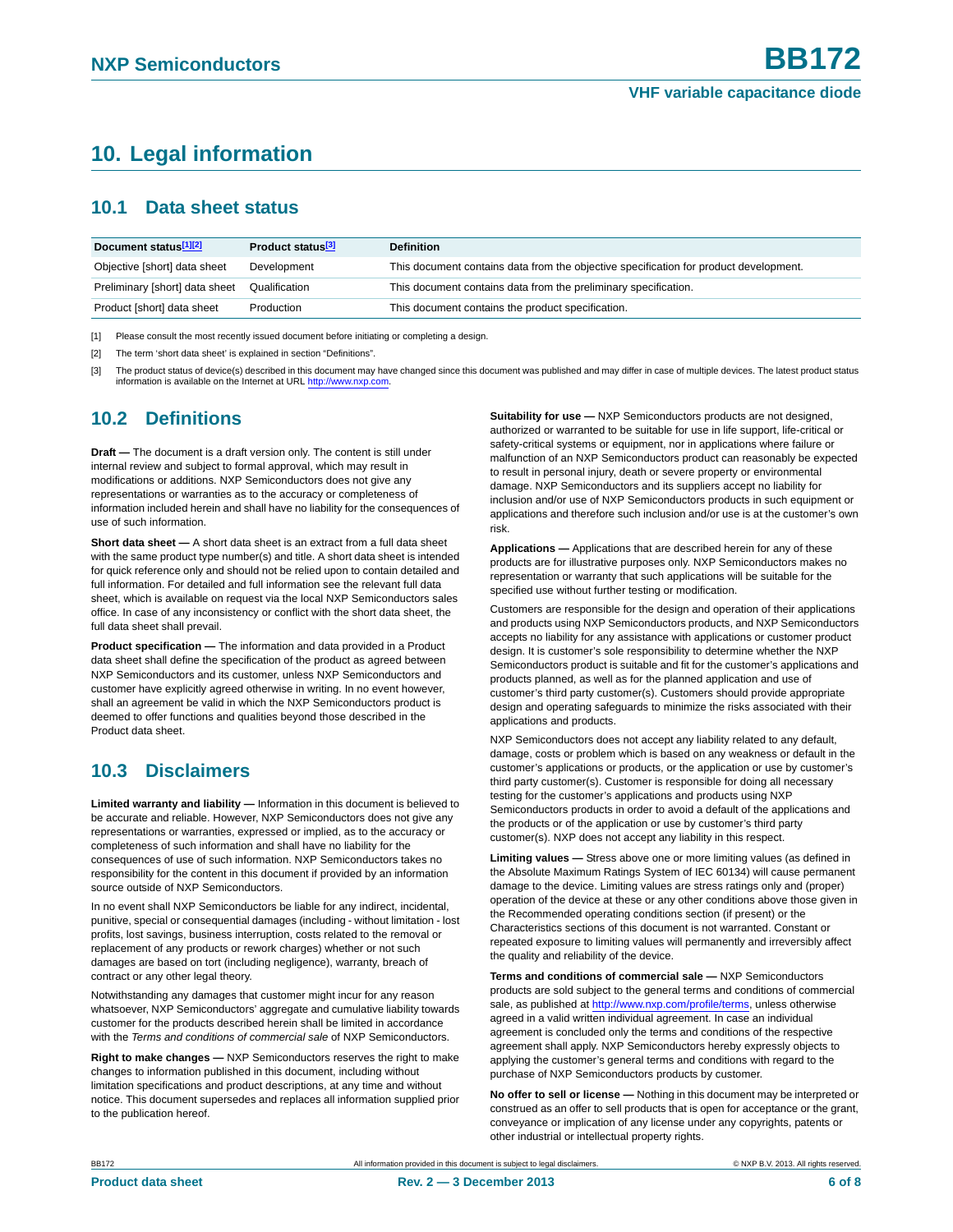## <span id="page-5-3"></span>**10. Legal information**

#### <span id="page-5-4"></span>**10.1 Data sheet status**

| Document status <sup>[1][2]</sup> | Product status <sup>[3]</sup> | <b>Definition</b>                                                                     |
|-----------------------------------|-------------------------------|---------------------------------------------------------------------------------------|
| Objective [short] data sheet      | Development                   | This document contains data from the objective specification for product development. |
| Preliminary [short] data sheet    | Qualification                 | This document contains data from the preliminary specification.                       |
| Product [short] data sheet        | Production                    | This document contains the product specification.                                     |

<span id="page-5-0"></span>[1] Please consult the most recently issued document before initiating or completing a design.

<span id="page-5-1"></span>[2] The term 'short data sheet' is explained in section "Definitions".

<span id="page-5-2"></span>[3] The product status of device(s) described in this document may have changed since this document was published and may differ in case of multiple devices. The latest product status information is available on the Internet at URL [http://www.nxp.com.](http://www.nxp.com)

## <span id="page-5-5"></span>**10.2 Definitions**

**Draft —** The document is a draft version only. The content is still under internal review and subject to formal approval, which may result in modifications or additions. NXP Semiconductors does not give any representations or warranties as to the accuracy or completeness of information included herein and shall have no liability for the consequences of use of such information.

**Short data sheet —** A short data sheet is an extract from a full data sheet with the same product type number(s) and title. A short data sheet is intended for quick reference only and should not be relied upon to contain detailed and full information. For detailed and full information see the relevant full data sheet, which is available on request via the local NXP Semiconductors sales office. In case of any inconsistency or conflict with the short data sheet, the full data sheet shall prevail.

**Product specification —** The information and data provided in a Product data sheet shall define the specification of the product as agreed between NXP Semiconductors and its customer, unless NXP Semiconductors and customer have explicitly agreed otherwise in writing. In no event however, shall an agreement be valid in which the NXP Semiconductors product is deemed to offer functions and qualities beyond those described in the Product data sheet.

## <span id="page-5-6"></span>**10.3 Disclaimers**

**Limited warranty and liability —** Information in this document is believed to be accurate and reliable. However, NXP Semiconductors does not give any representations or warranties, expressed or implied, as to the accuracy or completeness of such information and shall have no liability for the consequences of use of such information. NXP Semiconductors takes no responsibility for the content in this document if provided by an information source outside of NXP Semiconductors.

In no event shall NXP Semiconductors be liable for any indirect, incidental, punitive, special or consequential damages (including - without limitation - lost profits, lost savings, business interruption, costs related to the removal or replacement of any products or rework charges) whether or not such damages are based on tort (including negligence), warranty, breach of contract or any other legal theory.

Notwithstanding any damages that customer might incur for any reason whatsoever, NXP Semiconductors' aggregate and cumulative liability towards customer for the products described herein shall be limited in accordance with the *Terms and conditions of commercial sale* of NXP Semiconductors.

**Right to make changes —** NXP Semiconductors reserves the right to make changes to information published in this document, including without limitation specifications and product descriptions, at any time and without notice. This document supersedes and replaces all information supplied prior to the publication hereof.

**Suitability for use —** NXP Semiconductors products are not designed, authorized or warranted to be suitable for use in life support, life-critical or safety-critical systems or equipment, nor in applications where failure or malfunction of an NXP Semiconductors product can reasonably be expected to result in personal injury, death or severe property or environmental damage. NXP Semiconductors and its suppliers accept no liability for inclusion and/or use of NXP Semiconductors products in such equipment or applications and therefore such inclusion and/or use is at the customer's own risk.

**Applications —** Applications that are described herein for any of these products are for illustrative purposes only. NXP Semiconductors makes no representation or warranty that such applications will be suitable for the specified use without further testing or modification.

Customers are responsible for the design and operation of their applications and products using NXP Semiconductors products, and NXP Semiconductors accepts no liability for any assistance with applications or customer product design. It is customer's sole responsibility to determine whether the NXP Semiconductors product is suitable and fit for the customer's applications and products planned, as well as for the planned application and use of customer's third party customer(s). Customers should provide appropriate design and operating safeguards to minimize the risks associated with their applications and products.

NXP Semiconductors does not accept any liability related to any default, damage, costs or problem which is based on any weakness or default in the customer's applications or products, or the application or use by customer's third party customer(s). Customer is responsible for doing all necessary testing for the customer's applications and products using NXP Semiconductors products in order to avoid a default of the applications and the products or of the application or use by customer's third party customer(s). NXP does not accept any liability in this respect.

**Limiting values —** Stress above one or more limiting values (as defined in the Absolute Maximum Ratings System of IEC 60134) will cause permanent damage to the device. Limiting values are stress ratings only and (proper) operation of the device at these or any other conditions above those given in the Recommended operating conditions section (if present) or the Characteristics sections of this document is not warranted. Constant or repeated exposure to limiting values will permanently and irreversibly affect the quality and reliability of the device.

**Terms and conditions of commercial sale —** NXP Semiconductors products are sold subject to the general terms and conditions of commercial sale, as published at [http://www.nxp.com/profile/terms,](http://www.nxp.com/profile/terms) unless otherwise agreed in a valid written individual agreement. In case an individual agreement is concluded only the terms and conditions of the respective agreement shall apply. NXP Semiconductors hereby expressly objects to applying the customer's general terms and conditions with regard to the purchase of NXP Semiconductors products by customer.

**No offer to sell or license —** Nothing in this document may be interpreted or construed as an offer to sell products that is open for acceptance or the grant, conveyance or implication of any license under any copyrights, patents or other industrial or intellectual property rights.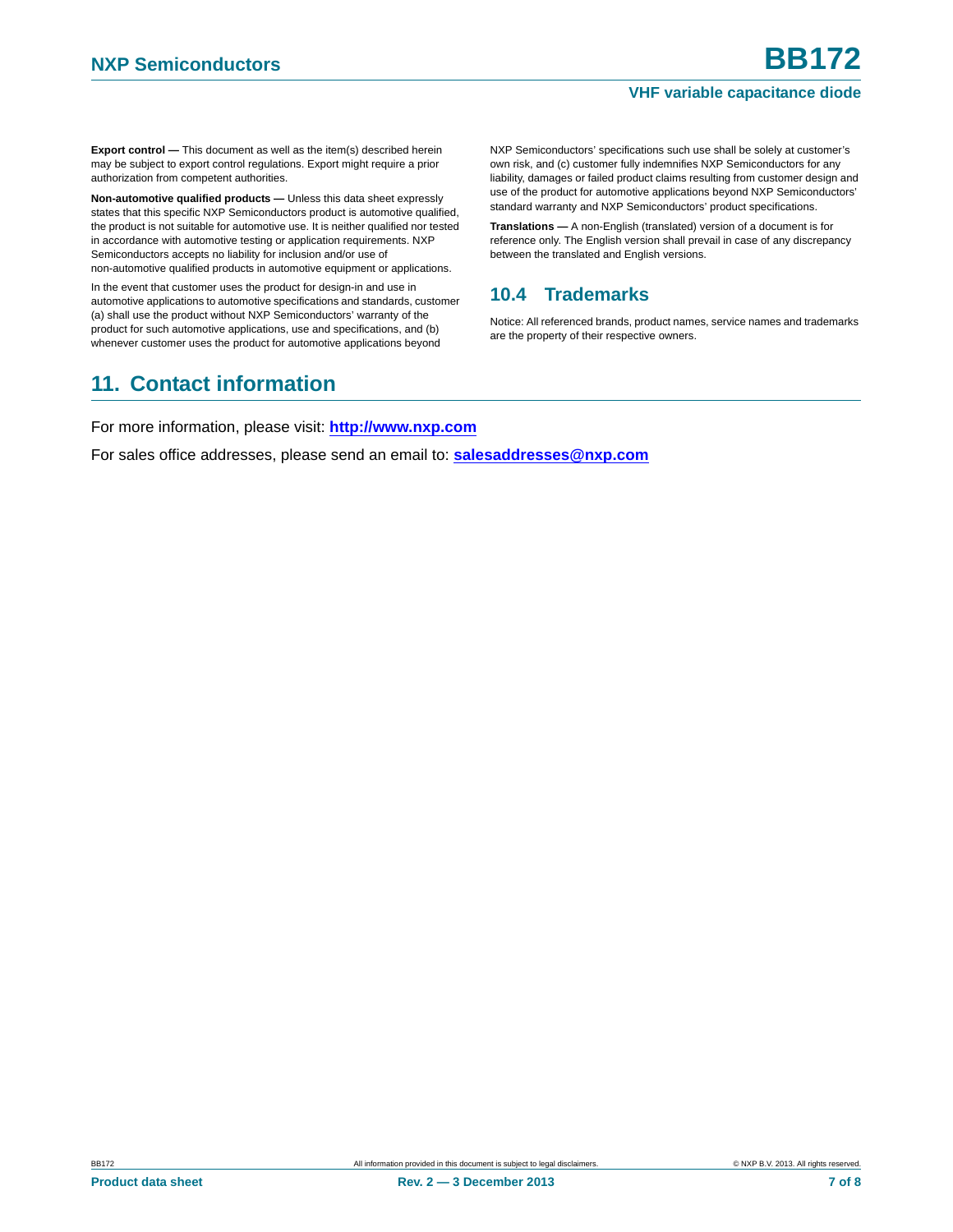#### **VHF variable capacitance diode**

**Export control —** This document as well as the item(s) described herein may be subject to export control regulations. Export might require a prior authorization from competent authorities.

**Non-automotive qualified products — Unless this data sheet expressly** states that this specific NXP Semiconductors product is automotive qualified, the product is not suitable for automotive use. It is neither qualified nor tested in accordance with automotive testing or application requirements. NXP Semiconductors accepts no liability for inclusion and/or use of non-automotive qualified products in automotive equipment or applications.

In the event that customer uses the product for design-in and use in automotive applications to automotive specifications and standards, customer (a) shall use the product without NXP Semiconductors' warranty of the product for such automotive applications, use and specifications, and (b) whenever customer uses the product for automotive applications beyond

## <span id="page-6-1"></span>**11. Contact information**

NXP Semiconductors' specifications such use shall be solely at customer's own risk, and (c) customer fully indemnifies NXP Semiconductors for any liability, damages or failed product claims resulting from customer design and use of the product for automotive applications beyond NXP Semiconductors' standard warranty and NXP Semiconductors' product specifications.

**Translations —** A non-English (translated) version of a document is for reference only. The English version shall prevail in case of any discrepancy between the translated and English versions.

#### <span id="page-6-0"></span>**10.4 Trademarks**

Notice: All referenced brands, product names, service names and trademarks are the property of their respective owners.

For more information, please visit: **http://www.nxp.com**

For sales office addresses, please send an email to: **salesaddresses@nxp.com**